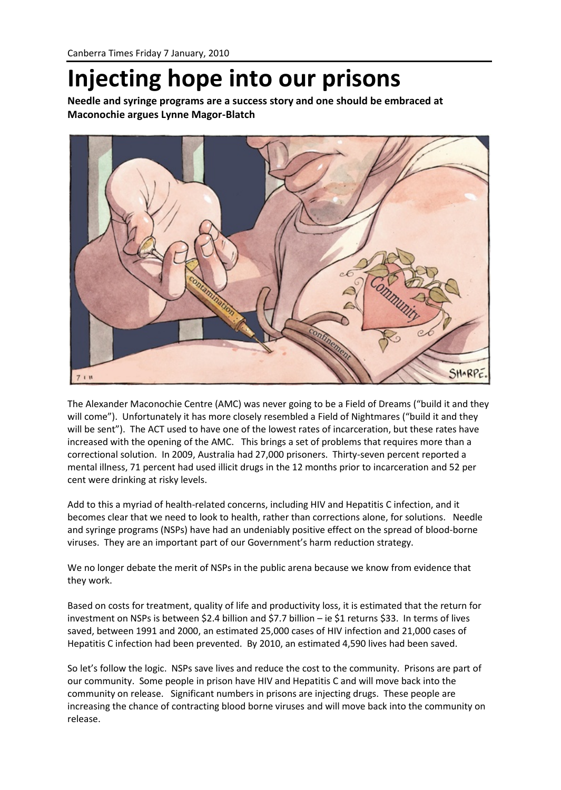## **Injecting hope into our prisons**

**Needle and syringe programs are a success story and one should be embraced at Maconochie argues Lynne Magor-Blatch**



The Alexander Maconochie Centre (AMC) was never going to be a Field of Dreams ("build it and they will come"). Unfortunately it has more closely resembled a Field of Nightmares ("build it and they will be sent"). The ACT used to have one of the lowest rates of incarceration, but these rates have increased with the opening of the AMC. This brings a set of problems that requires more than a correctional solution. In 2009, Australia had 27,000 prisoners. Thirty-seven percent reported a mental illness, 71 percent had used illicit drugs in the 12 months prior to incarceration and 52 per cent were drinking at risky levels.

Add to this a myriad of health-related concerns, including HIV and Hepatitis C infection, and it becomes clear that we need to look to health, rather than corrections alone, for solutions. Needle and syringe programs (NSPs) have had an undeniably positive effect on the spread of blood-borne viruses. They are an important part of our Government's harm reduction strategy.

We no longer debate the merit of NSPs in the public arena because we know from evidence that they work.

Based on costs for treatment, quality of life and productivity loss, it is estimated that the return for investment on NSPs is between \$2.4 billion and \$7.7 billion – ie \$1 returns \$33. In terms of lives saved, between 1991 and 2000, an estimated 25,000 cases of HIV infection and 21,000 cases of Hepatitis C infection had been prevented. By 2010, an estimated 4,590 lives had been saved.

So let's follow the logic. NSPs save lives and reduce the cost to the community. Prisons are part of our community. Some people in prison have HIV and Hepatitis C and will move back into the community on release. Significant numbers in prisons are injecting drugs. These people are increasing the chance of contracting blood borne viruses and will move back into the community on release.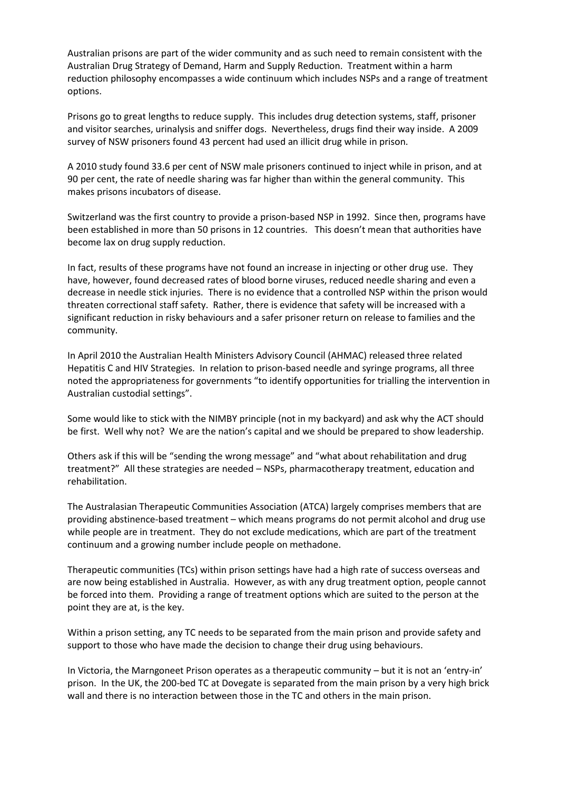Australian prisons are part of the wider community and as such need to remain consistent with the Australian Drug Strategy of Demand, Harm and Supply Reduction. Treatment within a harm reduction philosophy encompasses a wide continuum which includes NSPs and a range of treatment options.

Prisons go to great lengths to reduce supply. This includes drug detection systems, staff, prisoner and visitor searches, urinalysis and sniffer dogs. Nevertheless, drugs find their way inside. A 2009 survey of NSW prisoners found 43 percent had used an illicit drug while in prison.

A 2010 study found 33.6 per cent of NSW male prisoners continued to inject while in prison, and at 90 per cent, the rate of needle sharing was far higher than within the general community. This makes prisons incubators of disease.

Switzerland was the first country to provide a prison-based NSP in 1992. Since then, programs have been established in more than 50 prisons in 12 countries. This doesn't mean that authorities have become lax on drug supply reduction.

In fact, results of these programs have not found an increase in injecting or other drug use. They have, however, found decreased rates of blood borne viruses, reduced needle sharing and even a decrease in needle stick injuries. There is no evidence that a controlled NSP within the prison would threaten correctional staff safety. Rather, there is evidence that safety will be increased with a significant reduction in risky behaviours and a safer prisoner return on release to families and the community.

In April 2010 the Australian Health Ministers Advisory Council (AHMAC) released three related Hepatitis C and HIV Strategies. In relation to prison-based needle and syringe programs, all three noted the appropriateness for governments "to identify opportunities for trialling the intervention in Australian custodial settings".

Some would like to stick with the NIMBY principle (not in my backyard) and ask why the ACT should be first. Well why not? We are the nation's capital and we should be prepared to show leadership.

Others ask if this will be "sending the wrong message" and "what about rehabilitation and drug treatment?" All these strategies are needed – NSPs, pharmacotherapy treatment, education and rehabilitation.

The Australasian Therapeutic Communities Association (ATCA) largely comprises members that are providing abstinence-based treatment – which means programs do not permit alcohol and drug use while people are in treatment. They do not exclude medications, which are part of the treatment continuum and a growing number include people on methadone.

Therapeutic communities (TCs) within prison settings have had a high rate of success overseas and are now being established in Australia. However, as with any drug treatment option, people cannot be forced into them. Providing a range of treatment options which are suited to the person at the point they are at, is the key.

Within a prison setting, any TC needs to be separated from the main prison and provide safety and support to those who have made the decision to change their drug using behaviours.

In Victoria, the Marngoneet Prison operates as a therapeutic community – but it is not an 'entry-in' prison. In the UK, the 200-bed TC at Dovegate is separated from the main prison by a very high brick wall and there is no interaction between those in the TC and others in the main prison.